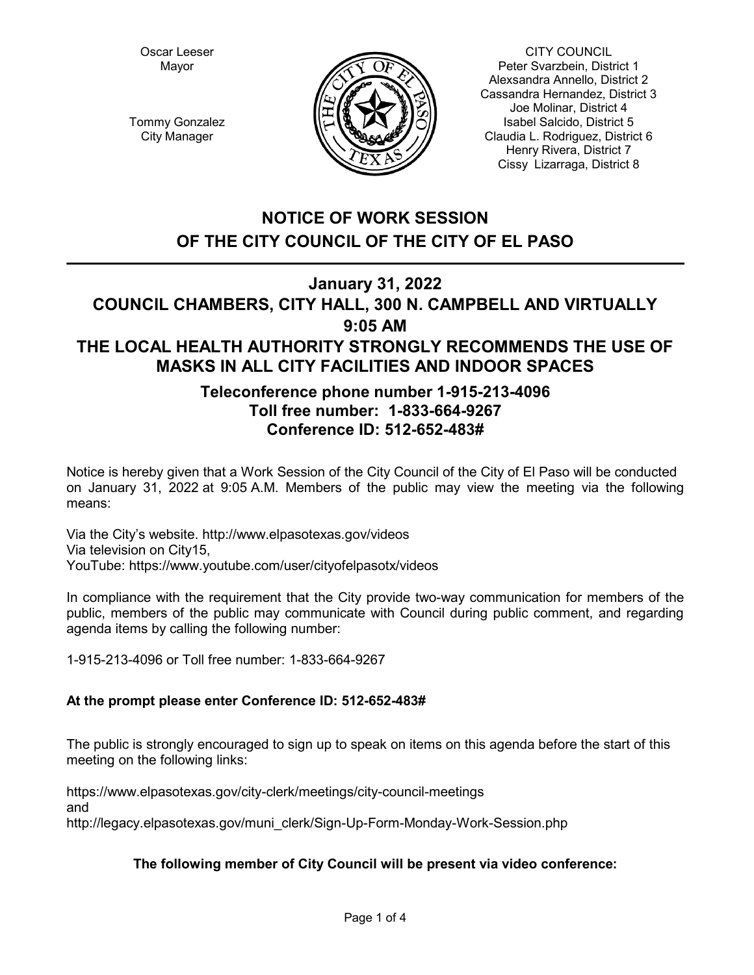Oscar Leeser Mayor



CITY COUNCIL Peter Svarzbein, District 1 Alexsandra Annello, District 2 Cassandra Hernandez, District 3 Joe Molinar, District 4 Isabel Salcido, District 5 Claudia L. Rodriguez, District 6 Henry Rivera, District 7 Cissy Lizarraga, District 8

Tommy Gonzalez City Manager

# **NOTICE OF WORK SESSION OF THE CITY COUNCIL OF THE CITY OF EL PASO**

# **January 31, 2022**

# **COUNCIL CHAMBERS, CITY HALL, 300 N. CAMPBELL AND VIRTUALLY 9:05 AM THE LOCAL HEALTH AUTHORITY STRONGLY RECOMMENDS THE USE OF MASKS IN ALL CITY FACILITIES AND INDOOR SPACES**

# **Teleconference phone number 1-915-213-4096 Toll free number: 1-833-664-9267 Conference ID: 512-652-483#**

Notice is hereby given that a Work Session of the City Council of the City of El Paso will be conducted on January 31, 2022 at 9:05 A.M. Members of the public may view the meeting via the following means:

Via the City's website. http://www.elpasotexas.gov/videos Via television on City15, YouTube: https://www.youtube.com/user/cityofelpasotx/videos

In compliance with the requirement that the City provide two-way communication for members of the public, members of the public may communicate with Council during public comment, and regarding agenda items by calling the following number:

1-915-213-4096 or Toll free number: 1-833-664-9267

## **At the prompt please enter Conference ID: 512-652-483#**

The public is strongly encouraged to sign up to speak on items on this agenda before the start of this meeting on the following links:

https://www.elpasotexas.gov/city-clerk/meetings/city-council-meetings and http://legacy.elpasotexas.gov/muni\_clerk/Sign-Up-Form-Monday-Work-Session.php

# **The following member of City Council will be present via video conference:**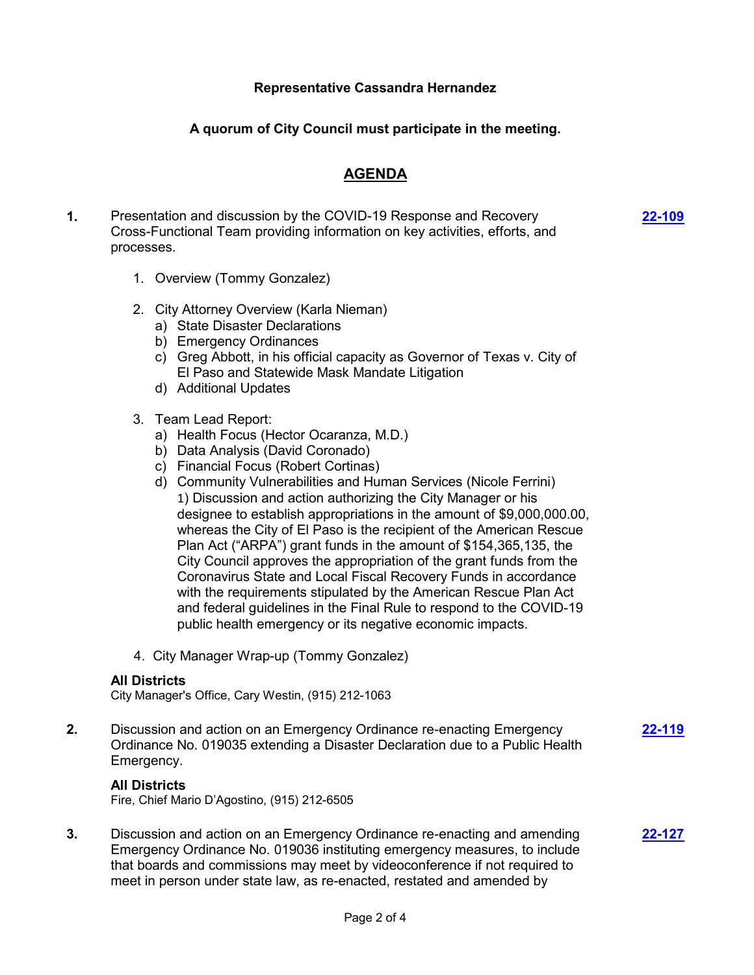### **Representative Cassandra Hernandez**

## **A quorum of City Council must participate in the meeting.**

## **AGENDA**

**1.** Presentation and discussion by the COVID-19 Response and Recovery Cross-Functional Team providing information on key activities, efforts, and processes.

**[22-109](http://elpasotexas.legistar.com/gateway.aspx?m=l&id=/matter.aspx?key=6573)**

- 1. Overview (Tommy Gonzalez)
- 2. City Attorney Overview (Karla Nieman)
	- a) State Disaster Declarations
	- b) Emergency Ordinances
	- c) Greg Abbott, in his official capacity as Governor of Texas v. City of El Paso and Statewide Mask Mandate Litigation
	- d) Additional Updates
- 3. Team Lead Report:
	- a) Health Focus (Hector Ocaranza, M.D.)
	- b) Data Analysis (David Coronado)
	- c) Financial Focus (Robert Cortinas)
	- d) Community Vulnerabilities and Human Services (Nicole Ferrini) 1) Discussion and action authorizing the City Manager or his designee to establish appropriations in the amount of \$9,000,000.00, whereas the City of El Paso is the recipient of the American Rescue Plan Act ("ARPA") grant funds in the amount of \$154,365,135, the City Council approves the appropriation of the grant funds from the Coronavirus State and Local Fiscal Recovery Funds in accordance with the requirements stipulated by the American Rescue Plan Act and federal guidelines in the Final Rule to respond to the COVID-19 public health emergency or its negative economic impacts.
- 4. City Manager Wrap-up (Tommy Gonzalez)

#### **All Districts**

City Manager's Office, Cary Westin, (915) 212-1063

**2.** Discussion and action on an Emergency Ordinance re-enacting Emergency Ordinance No. 019035 extending a Disaster Declaration due to a Public Health Emergency.

#### **All Districts**

Fire, Chief Mario D'Agostino, (915) 212-6505

**3.** Discussion and action on an Emergency Ordinance re-enacting and amending Emergency Ordinance No. 019036 instituting emergency measures, to include that boards and commissions may meet by videoconference if not required to meet in person under state law, as re-enacted, restated and amended by

**[22-127](http://elpasotexas.legistar.com/gateway.aspx?m=l&id=/matter.aspx?key=6591)**

**[22-119](http://elpasotexas.legistar.com/gateway.aspx?m=l&id=/matter.aspx?key=6583)**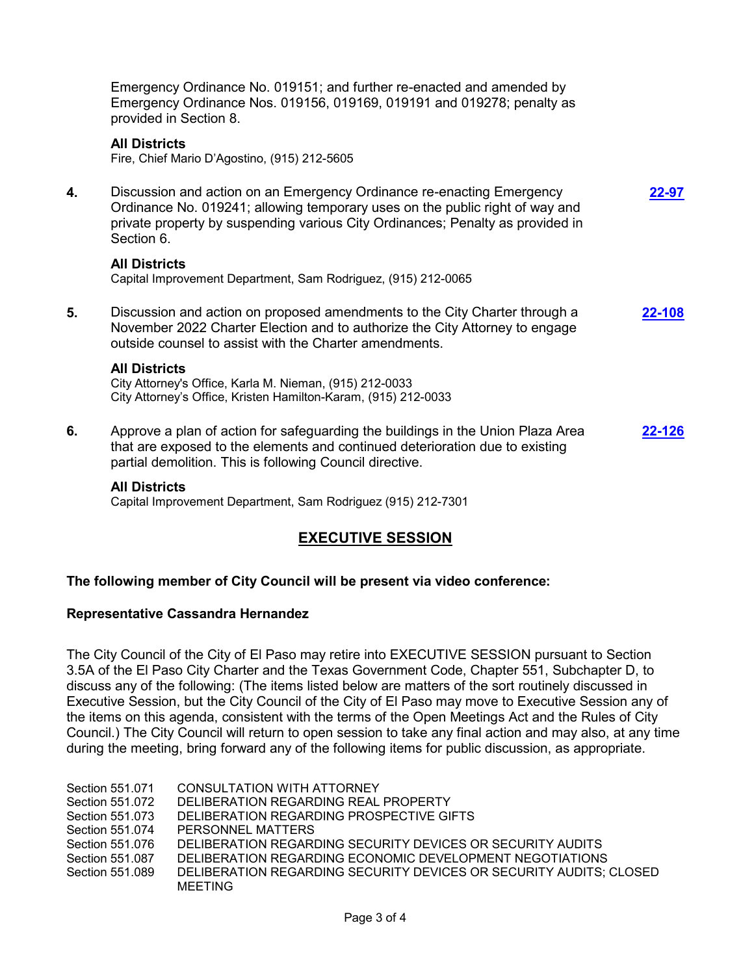Emergency Ordinance No. 019151; and further re-enacted and amended by Emergency Ordinance Nos. 019156, 019169, 019191 and 019278; penalty as provided in Section 8.

#### **All Districts**

Fire, Chief Mario D'Agostino, (915) 212-5605

**4.** Discussion and action on an Emergency Ordinance re-enacting Emergency Ordinance No. 019241; allowing temporary uses on the public right of way and private property by suspending various City Ordinances; Penalty as provided in Section 6. **[22-97](http://elpasotexas.legistar.com/gateway.aspx?m=l&id=/matter.aspx?key=6561)**

#### **All Districts**

Capital Improvement Department, Sam Rodriguez, (915) 212-0065

**5.** Discussion and action on proposed amendments to the City Charter through a November 2022 Charter Election and to authorize the City Attorney to engage outside counsel to assist with the Charter amendments. **[22-108](http://elpasotexas.legistar.com/gateway.aspx?m=l&id=/matter.aspx?key=6572)**

#### **All Districts**

City Attorney's Office, Karla M. Nieman, (915) 212-0033 City Attorney's Office, Kristen Hamilton-Karam, (915) 212-0033

**6.** Approve a plan of action for safeguarding the buildings in the Union Plaza Area that are exposed to the elements and continued deterioration due to existing partial demolition. This is following Council directive. **[22-126](http://elpasotexas.legistar.com/gateway.aspx?m=l&id=/matter.aspx?key=6590)**

#### **All Districts**

Capital Improvement Department, Sam Rodriguez (915) 212-7301

## **EXECUTIVE SESSION**

#### **The following member of City Council will be present via video conference:**

#### **Representative Cassandra Hernandez**

The City Council of the City of El Paso may retire into EXECUTIVE SESSION pursuant to Section 3.5A of the El Paso City Charter and the Texas Government Code, Chapter 551, Subchapter D, to discuss any of the following: (The items listed below are matters of the sort routinely discussed in Executive Session, but the City Council of the City of El Paso may move to Executive Session any of the items on this agenda, consistent with the terms of the Open Meetings Act and the Rules of City Council.) The City Council will return to open session to take any final action and may also, at any time during the meeting, bring forward any of the following items for public discussion, as appropriate.

Section 551.071 CONSULTATION WITH ATTORNEY Section 551.072 DELIBERATION REGARDING REAL PROPERTY Section 551.073 DELIBERATION REGARDING PROSPECTIVE GIFTS Section 551.074 PERSONNEL MATTERS Section 551.076 DELIBERATION REGARDING SECURITY DEVICES OR SECURITY AUDITS Section 551.087 DELIBERATION REGARDING ECONOMIC DEVELOPMENT NEGOTIATIONS Section 551.089 DELIBERATION REGARDING SECURITY DEVICES OR SECURITY AUDITS; CLOSED MEETING